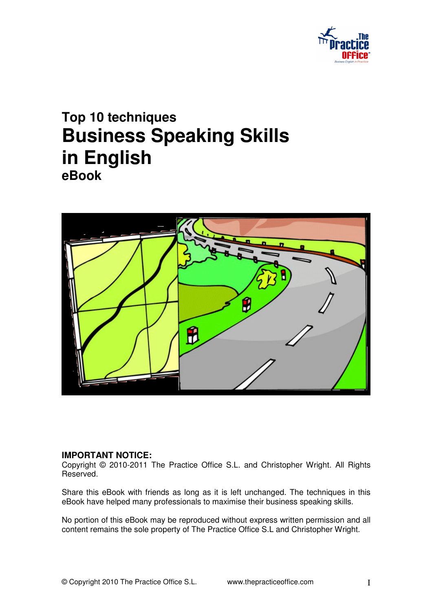

# **Top 10 techniques Business Speaking Skills in English eBook**



### **IMPORTANT NOTICE:**

Copyright © 2010-2011 The Practice Office S.L. and Christopher Wright. All Rights Reserved.

Share this eBook with friends as long as it is left unchanged. The techniques in this eBook have helped many professionals to maximise their business speaking skills.

No portion of this eBook may be reproduced without express written permission and all content remains the sole property of The Practice Office S.L and Christopher Wright.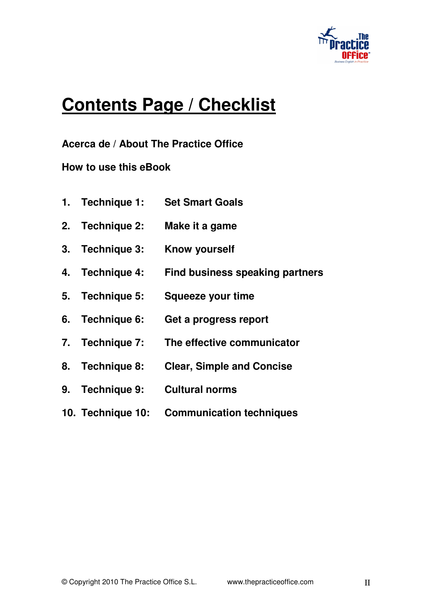

# **Contents Page / Checklist**

**Acerca de / About The Practice Office** 

**How to use this eBook**

| 1. Technique 1:   | <b>Set Smart Goals</b>           |
|-------------------|----------------------------------|
| 2. Technique 2:   | Make it a game                   |
| 3. Technique 3:   | <b>Know yourself</b>             |
| 4. Technique 4:   | Find business speaking partners  |
| 5. Technique 5:   | <b>Squeeze your time</b>         |
| 6. Technique 6:   | Get a progress report            |
| 7. Technique 7:   | The effective communicator       |
| 8. Technique 8:   | <b>Clear, Simple and Concise</b> |
| 9. Technique 9:   | <b>Cultural norms</b>            |
| 10. Technique 10: | <b>Communication techniques</b>  |
|                   |                                  |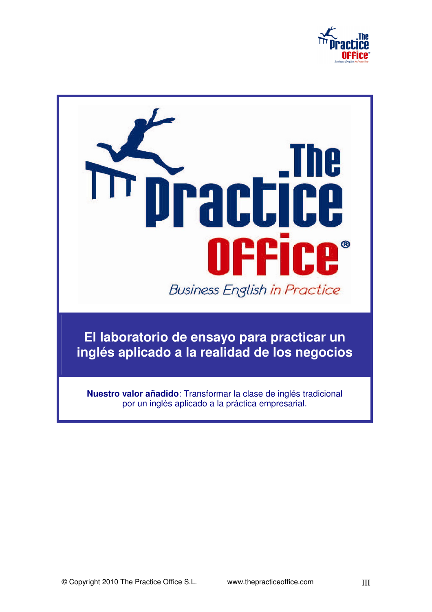

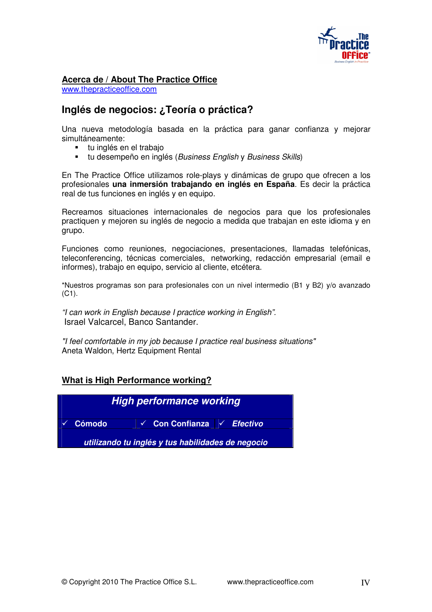

#### **Acerca de / About The Practice Office**

www.thepracticeoffice.com

### **Inglés de negocios: ¿Teoría o práctica?**

Una nueva metodología basada en la práctica para ganar confianza y mejorar simultáneamente:

- tu inglés en el trabajo
- **tu desempeño en inglés (Business English y Business Skills)**

En The Practice Office utilizamos role-plays y dinámicas de grupo que ofrecen a los profesionales **una inmersión trabajando en inglés en España**. Es decir la práctica real de tus funciones en inglés y en equipo.

Recreamos situaciones internacionales de negocios para que los profesionales practiquen y mejoren su inglés de negocio a medida que trabajan en este idioma y en grupo.

Funciones como reuniones, negociaciones, presentaciones, llamadas telefónicas, teleconferencing, técnicas comerciales, networking, redacción empresarial (email e informes), trabajo en equipo, servicio al cliente, etcétera.

\*Nuestros programas son para profesionales con un nivel intermedio (B1 y B2) y/o avanzado (C1).

"I can work in English because I practice working in English". Israel Valcarcel, Banco Santander.

"I feel comfortable in my job because I practice real business situations" Aneta Waldon, Hertz Equipment Rental

### **What is High Performance working?**

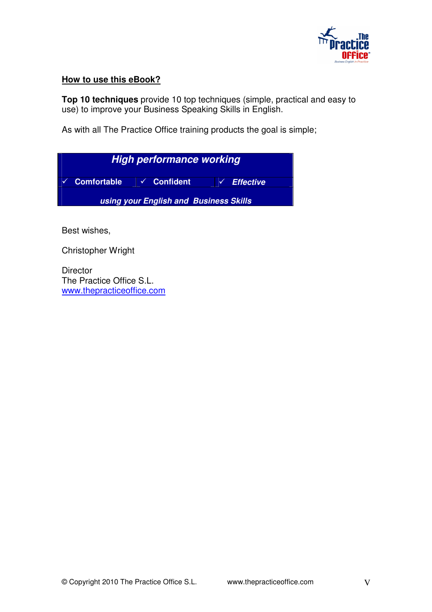

### **How to use this eBook?**

**Top 10 techniques** provide 10 top techniques (simple, practical and easy to use) to improve your Business Speaking Skills in English.

As with all The Practice Office training products the goal is simple;

| <b>High performance working</b>        |  |                        |  |  |
|----------------------------------------|--|------------------------|--|--|
| Comfortable √ Confident                |  | $\checkmark$ Effective |  |  |
| using your English and Business Skills |  |                        |  |  |

Best wishes,

Christopher Wright

**Director** The Practice Office S.L. www.thepracticeoffice.com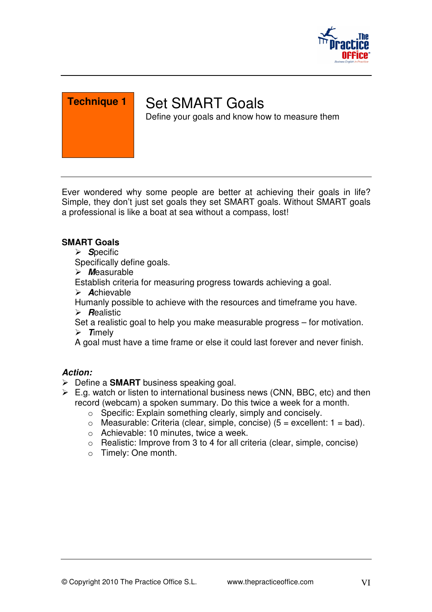

# Set SMART Goals

Define your goals and know how to measure them

Ever wondered why some people are better at achieving their goals in life? Simple, they don't just set goals they set SMART goals. Without SMART goals a professional is like a boat at sea without a compass, lost!

### **SMART Goals**

> Specific

Specifically define goals.

**M**easurable

Establish criteria for measuring progress towards achieving a goal.

**A**chievable

Humanly possible to achieve with the resources and timeframe you have.

**R**ealistic

Set a realistic goal to help you make measurable progress – for motivation.  $\triangleright$  **Timely** 

A goal must have a time frame or else it could last forever and never finish.

- Define a **SMART** business speaking goal.
- $\triangleright$  E.g. watch or listen to international business news (CNN, BBC, etc) and then record (webcam) a spoken summary. Do this twice a week for a month.
	- o Specific: Explain something clearly, simply and concisely.
	- $\circ$  Measurable: Criteria (clear, simple, concise) (5 = excellent: 1 = bad).
	- o Achievable: 10 minutes, twice a week.
	- o Realistic: Improve from 3 to 4 for all criteria (clear, simple, concise)
	- o Timely: One month.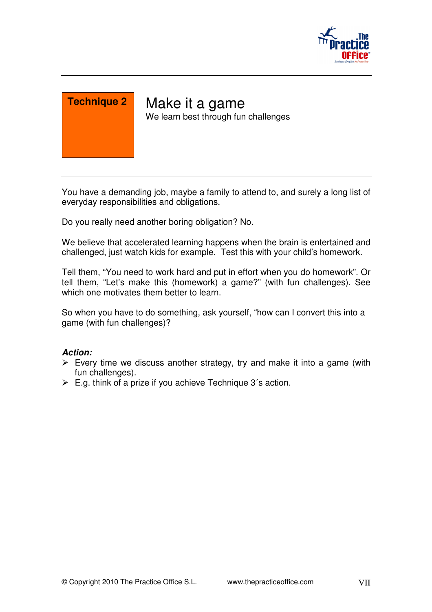



Make it a game We learn best through fun challenges

You have a demanding job, maybe a family to attend to, and surely a long list of everyday responsibilities and obligations.

Do you really need another boring obligation? No.

We believe that accelerated learning happens when the brain is entertained and challenged, just watch kids for example. Test this with your child's homework.

Tell them, "You need to work hard and put in effort when you do homework". Or tell them, "Let's make this (homework) a game?" (with fun challenges). See which one motivates them better to learn.

So when you have to do something, ask yourself, "how can I convert this into a game (with fun challenges)?

- $\triangleright$  Every time we discuss another strategy, try and make it into a game (with fun challenges).
- $\triangleright$  E.g. think of a prize if you achieve Technique 3's action.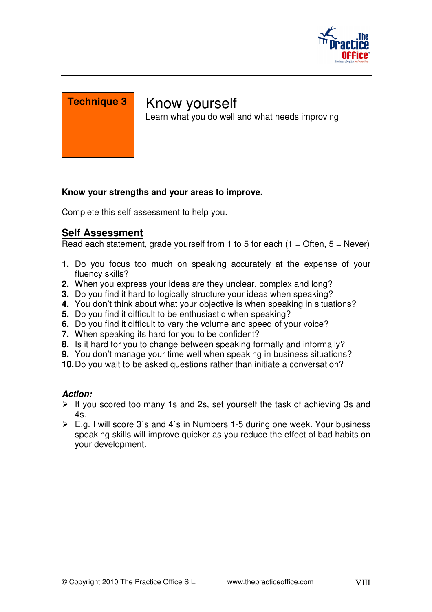

### Know yourself

Learn what you do well and what needs improving

### **Know your strengths and your areas to improve.**

Complete this self assessment to help you.

### **Self Assessment**

Read each statement, grade yourself from 1 to 5 for each  $(1 =$  Often,  $5 =$  Never)

- **1.** Do you focus too much on speaking accurately at the expense of your fluency skills?
- **2.** When you express your ideas are they unclear, complex and long?
- **3.** Do you find it hard to logically structure your ideas when speaking?
- **4.** You don't think about what your objective is when speaking in situations?
- **5.** Do you find it difficult to be enthusiastic when speaking?
- **6.** Do you find it difficult to vary the volume and speed of your voice?
- **7.** When speaking its hard for you to be confident?
- **8.** Is it hard for you to change between speaking formally and informally?
- **9.** You don't manage your time well when speaking in business situations?
- **10.** Do you wait to be asked questions rather than initiate a conversation?

- $\triangleright$  If you scored too many 1s and 2s, set yourself the task of achieving 3s and 4s.
- $\triangleright$  E.g. I will score 3's and 4's in Numbers 1-5 during one week. Your business speaking skills will improve quicker as you reduce the effect of bad habits on your development.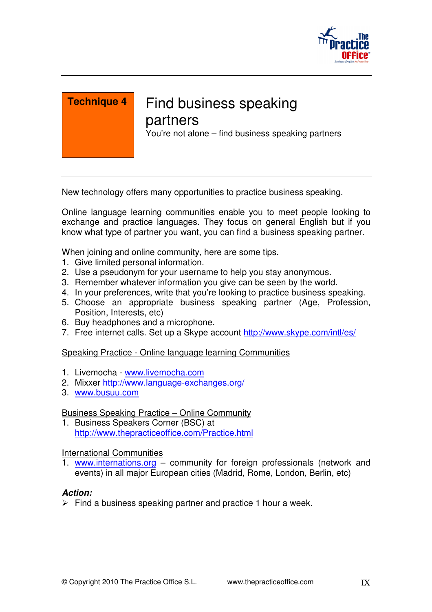

### Find business speaking partners

You're not alone – find business speaking partners

New technology offers many opportunities to practice business speaking.

Online language learning communities enable you to meet people looking to exchange and practice languages. They focus on general English but if you know what type of partner you want, you can find a business speaking partner.

When joining and online community, here are some tips.

- 1. Give limited personal information.
- 2. Use a pseudonym for your username to help you stay anonymous.
- 3. Remember whatever information you give can be seen by the world.
- 4. In your preferences, write that you're looking to practice business speaking.
- 5. Choose an appropriate business speaking partner (Age, Profession, Position, Interests, etc)
- 6. Buy headphones and a microphone.
- 7. Free internet calls. Set up a Skype account http://www.skype.com/intl/es/

### Speaking Practice - Online language learning Communities

- 1. Livemocha www.livemocha.com
- 2. Mixxer http://www.language-exchanges.org/
- 3. www.busuu.com

Business Speaking Practice – Online Community

1. Business Speakers Corner (BSC) at http://www.thepracticeoffice.com/Practice.html

### International Communities

1. www.internations.org – community for foreign professionals (network and events) in all major European cities (Madrid, Rome, London, Berlin, etc)

### **Action:**

 $\triangleright$  Find a business speaking partner and practice 1 hour a week.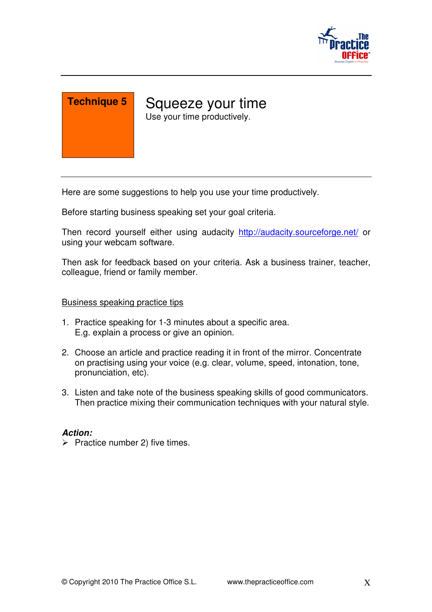

Squeeze your time Use your time productively.

Here are some suggestions to help you use your time productively.

Before starting business speaking set your goal criteria.

Then record yourself either using audacity http://audacity.sourceforge.net/ or using your webcam software.

Then ask for feedback based on your criteria. Ask a business trainer, teacher, colleague, friend or family member.

#### Business speaking practice tips

- 1. Practice speaking for 1-3 minutes about a specific area. E.g. explain a process or give an opinion.
- 2. Choose an article and practice reading it in front of the mirror. Concentrate on practising using your voice (e.g. clear, volume, speed, intonation, tone, pronunciation, etc).
- 3. Listen and take note of the business speaking skills of good communicators. Then practice mixing their communication techniques with your natural style.

### **Action:**

 $\triangleright$  Practice number 2) five times.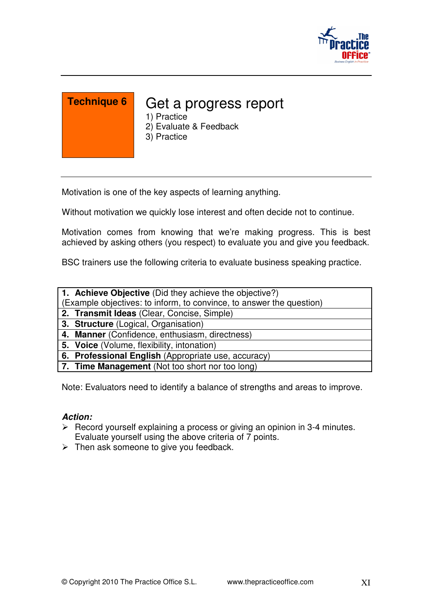

### Get a progress report

- 1) Practice
- 2) Evaluate & Feedback
- 3) Practice

Motivation is one of the key aspects of learning anything.

Without motivation we quickly lose interest and often decide not to continue.

Motivation comes from knowing that we're making progress. This is best achieved by asking others (you respect) to evaluate you and give you feedback.

BSC trainers use the following criteria to evaluate business speaking practice.

**1. Achieve Objective** (Did they achieve the objective?)

(Example objectives: to inform, to convince, to answer the question)

- **2. Transmit Ideas** (Clear, Concise, Simple)
- **3. Structure** (Logical, Organisation)

**4. Manner** (Confidence, enthusiasm, directness)

- **5. Voice** (Volume, flexibility, intonation)
- **6. Professional English** (Appropriate use, accuracy)
- **7. Time Management** (Not too short nor too long)

Note: Evaluators need to identify a balance of strengths and areas to improve.

- $\triangleright$  Record yourself explaining a process or giving an opinion in 3-4 minutes. Evaluate yourself using the above criteria of 7 points.
- $\triangleright$  Then ask someone to give you feedback.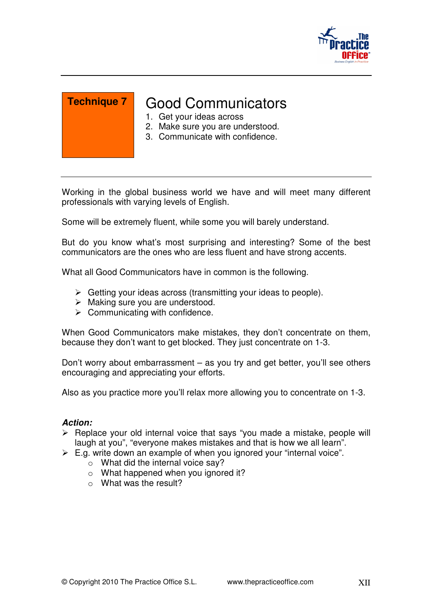

### Good Communicators

- 1. Get your ideas across
- 2. Make sure you are understood.
- 3. Communicate with confidence.

Working in the global business world we have and will meet many different professionals with varying levels of English.

Some will be extremely fluent, while some you will barely understand.

But do you know what's most surprising and interesting? Some of the best communicators are the ones who are less fluent and have strong accents.

What all Good Communicators have in common is the following.

- Getting your ideas across (transmitting your ideas to people).
- $\triangleright$  Making sure you are understood.
- $\triangleright$  Communicating with confidence.

When Good Communicators make mistakes, they don't concentrate on them, because they don't want to get blocked. They just concentrate on 1-3.

Don't worry about embarrassment – as you try and get better, you'll see others encouraging and appreciating your efforts.

Also as you practice more you'll relax more allowing you to concentrate on 1-3.

- $\triangleright$  Replace your old internal voice that says "you made a mistake, people will laugh at you", "everyone makes mistakes and that is how we all learn".
- $\triangleright$  E.g. write down an example of when you ignored your "internal voice".
	- o What did the internal voice say?
	- o What happened when you ignored it?
	- o What was the result?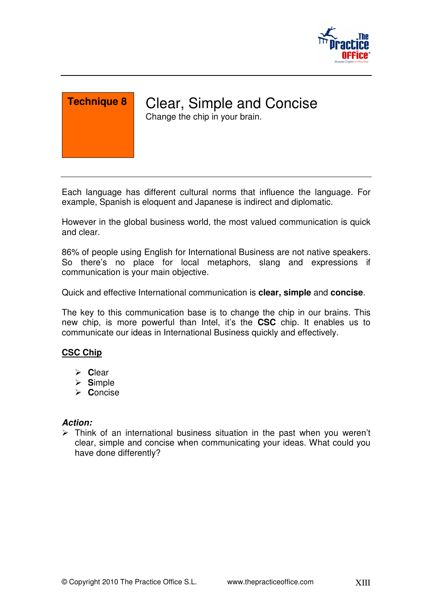

Clear, Simple and Concise Change the chip in your brain.

Each language has different cultural norms that influence the language. For example, Spanish is eloquent and Japanese is indirect and diplomatic.

However in the global business world, the most valued communication is quick and clear.

86% of people using English for International Business are not native speakers. So there's no place for local metaphors, slang and expressions if communication is your main objective.

Quick and effective International communication is **clear, simple** and **concise**.

The key to this communication base is to change the chip in our brains. This new chip, is more powerful than Intel, it's the **CSC** chip. It enables us to communicate our ideas in International Business quickly and effectively.

### **CSC Chip**

- **C**lear
- **S**imple
- **C**oncise

### **Action:**

 $\triangleright$  Think of an international business situation in the past when you weren't clear, simple and concise when communicating your ideas. What could you have done differently?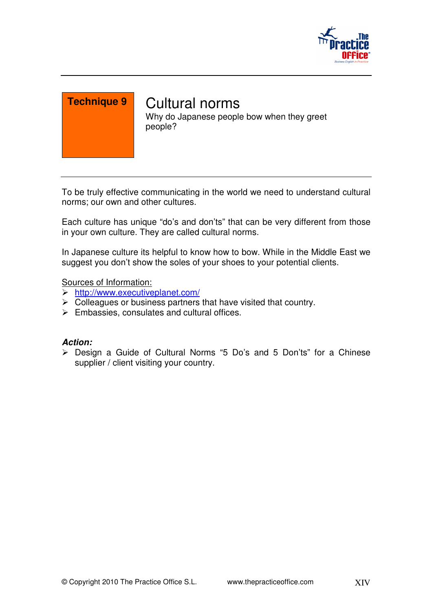



# Cultural norms

Why do Japanese people bow when they greet people?

To be truly effective communicating in the world we need to understand cultural norms; our own and other cultures.

Each culture has unique "do's and don'ts" that can be very different from those in your own culture. They are called cultural norms.

In Japanese culture its helpful to know how to bow. While in the Middle East we suggest you don't show the soles of your shoes to your potential clients.

Sources of Information:

- http://www.executiveplanet.com/
- $\triangleright$  Colleagues or business partners that have visited that country.
- $\triangleright$  Embassies, consulates and cultural offices.

### **Action:**

 Design a Guide of Cultural Norms "5 Do's and 5 Don'ts" for a Chinese supplier / client visiting your country.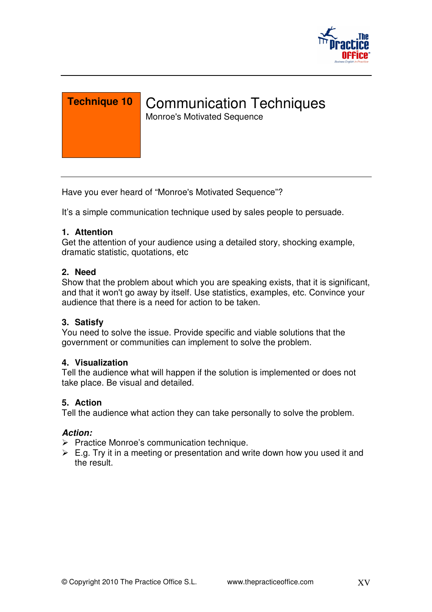

Communication Techniques

Monroe's Motivated Sequence

Have you ever heard of "Monroe's Motivated Sequence"?

It's a simple communication technique used by sales people to persuade.

### **1. Attention**

Get the attention of your audience using a detailed story, shocking example, dramatic statistic, quotations, etc

### **2. Need**

Show that the problem about which you are speaking exists, that it is significant, and that it won't go away by itself. Use statistics, examples, etc. Convince your audience that there is a need for action to be taken.

### **3. Satisfy**

You need to solve the issue. Provide specific and viable solutions that the government or communities can implement to solve the problem.

### **4. Visualization**

Tell the audience what will happen if the solution is implemented or does not take place. Be visual and detailed.

### **5. Action**

Tell the audience what action they can take personally to solve the problem.

- $\triangleright$  Practice Monroe's communication technique.
- $\triangleright$  E.g. Try it in a meeting or presentation and write down how you used it and the result.